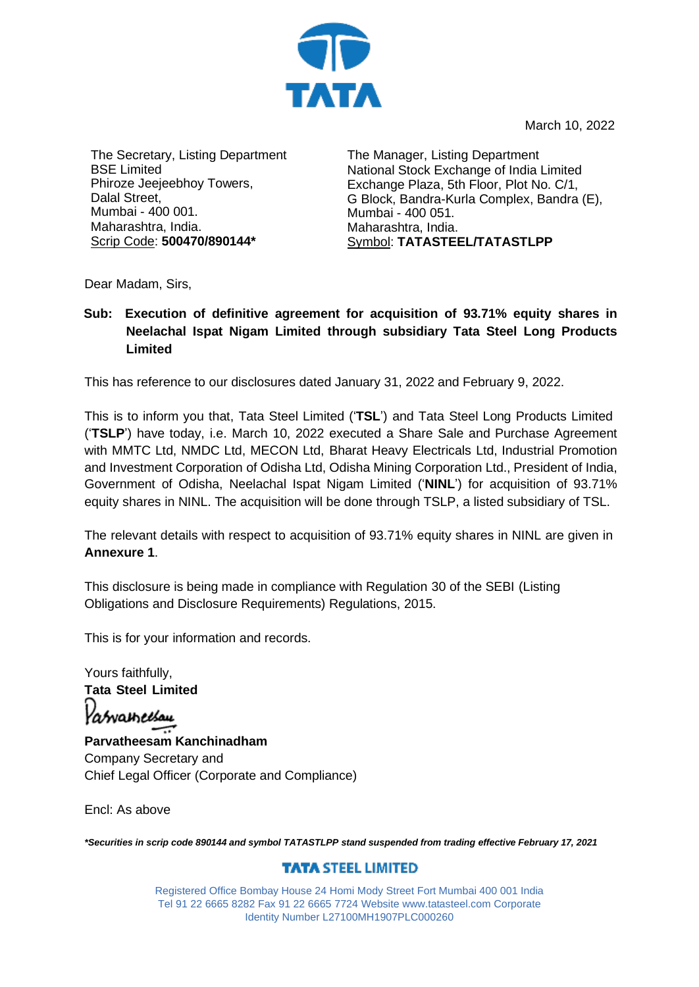

March 10, 2022

The Secretary, Listing Department BSE Limited Phiroze Jeejeebhoy Towers, Dalal Street, Mumbai - 400 001. Maharashtra, India. Scrip Code: **500470/890144\***

The Manager, Listing Department National Stock Exchange of India Limited Exchange Plaza, 5th Floor, Plot No. C/1, G Block, Bandra-Kurla Complex, Bandra (E), Mumbai - 400 051. Maharashtra, India. Symbol: **TATASTEEL/TATASTLPP**

Dear Madam, Sirs,

## **Sub: Execution of definitive agreement for acquisition of 93.71% equity shares in Neelachal Ispat Nigam Limited through subsidiary Tata Steel Long Products Limited**

This has reference to our disclosures dated January 31, 2022 and February 9, 2022.

This is to inform you that, Tata Steel Limited ('**TSL**') and Tata Steel Long Products Limited ('**TSLP**') have today, i.e. March 10, 2022 executed a Share Sale and Purchase Agreement with MMTC Ltd, NMDC Ltd, MECON Ltd, Bharat Heavy Electricals Ltd, Industrial Promotion and Investment Corporation of Odisha Ltd, Odisha Mining Corporation Ltd., President of India, Government of Odisha, Neelachal Ispat Nigam Limited ('**NINL**') for acquisition of 93.71% equity shares in NINL. The acquisition will be done through TSLP, a listed subsidiary of TSL.

The relevant details with respect to acquisition of 93.71% equity shares in NINL are given in **Annexure 1**.

This disclosure is being made in compliance with Regulation 30 of the SEBI (Listing Obligations and Disclosure Requirements) Regulations, 2015.

This is for your information and records.

Yours faithfully, **Tata Steel Limited** Yasvametsau **Parvatheesam Kanchinadham** Company Secretary and Chief Legal Officer (Corporate and Compliance)

Encl: As above

*\*Securities in scrip code 890144 and symbol TATASTLPP stand suspended from trading effective February 17, 2021*

## **TATA STEEL LIMITED**

Registered Office Bombay House 24 Homi Mody Street Fort Mumbai 400 001 India Tel 91 22 6665 8282 Fax 91 22 6665 7724 Website [www.tatasteel.com](http://www.tatasteel.com/) Corporate Identity Number L27100MH1907PLC000260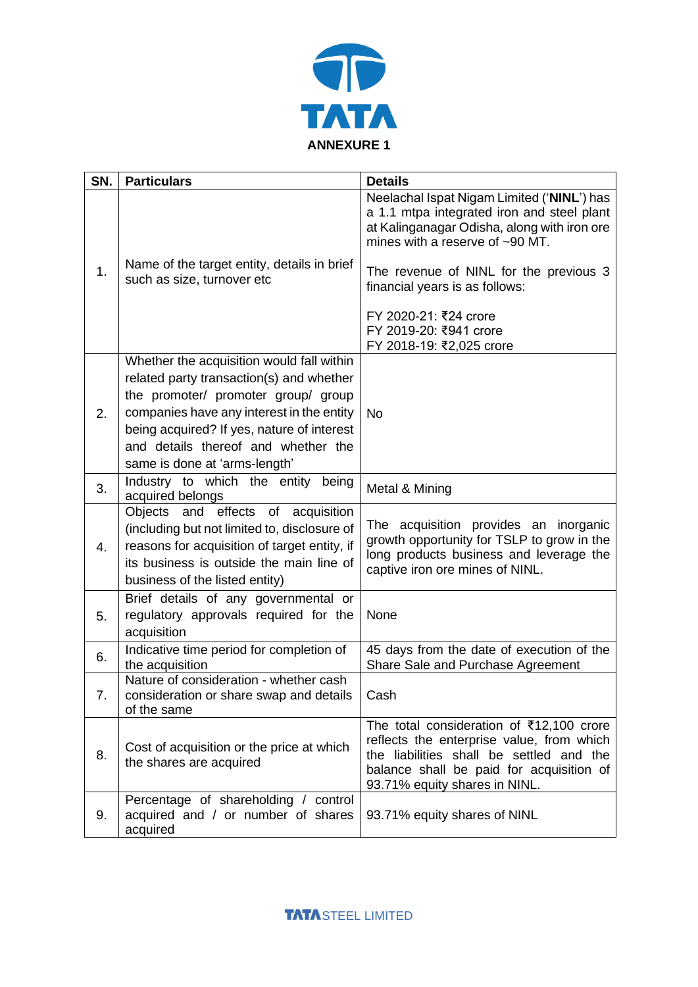

| SN. | <b>Particulars</b>                                                                                                                                                                                               | <b>Details</b>                                                                                                                                                                                                 |
|-----|------------------------------------------------------------------------------------------------------------------------------------------------------------------------------------------------------------------|----------------------------------------------------------------------------------------------------------------------------------------------------------------------------------------------------------------|
| 1.  |                                                                                                                                                                                                                  | Neelachal Ispat Nigam Limited ('NINL') has<br>a 1.1 mtpa integrated iron and steel plant<br>at Kalinganagar Odisha, along with iron ore<br>mines with a reserve of ~90 MT.                                     |
|     | Name of the target entity, details in brief<br>such as size, turnover etc                                                                                                                                        | The revenue of NINL for the previous 3<br>financial years is as follows:                                                                                                                                       |
|     |                                                                                                                                                                                                                  | FY 2020-21: ₹24 crore<br>FY 2019-20: ₹941 crore<br>FY 2018-19: ₹2,025 crore                                                                                                                                    |
| 2.  | Whether the acquisition would fall within                                                                                                                                                                        |                                                                                                                                                                                                                |
|     | related party transaction(s) and whether                                                                                                                                                                         |                                                                                                                                                                                                                |
|     | the promoter/ promoter group/ group                                                                                                                                                                              |                                                                                                                                                                                                                |
|     | companies have any interest in the entity                                                                                                                                                                        | <b>No</b>                                                                                                                                                                                                      |
|     | being acquired? If yes, nature of interest                                                                                                                                                                       |                                                                                                                                                                                                                |
|     | and details thereof and whether the<br>same is done at 'arms-length'                                                                                                                                             |                                                                                                                                                                                                                |
|     | Industry to which the entity being                                                                                                                                                                               |                                                                                                                                                                                                                |
| 3.  | acquired belongs                                                                                                                                                                                                 | Metal & Mining                                                                                                                                                                                                 |
| 4.  | Objects and effects of acquisition<br>(including but not limited to, disclosure of<br>reasons for acquisition of target entity, if<br>its business is outside the main line of<br>business of the listed entity) | The acquisition provides an inorganic<br>growth opportunity for TSLP to grow in the<br>long products business and leverage the<br>captive iron ore mines of NINL.                                              |
|     | Brief details of any governmental or                                                                                                                                                                             |                                                                                                                                                                                                                |
| 5.  | regulatory approvals required for the<br>acquisition                                                                                                                                                             | None                                                                                                                                                                                                           |
| 6.  | Indicative time period for completion of<br>the acquisition                                                                                                                                                      | 45 days from the date of execution of the<br>Share Sale and Purchase Agreement                                                                                                                                 |
| 7.  | Nature of consideration - whether cash<br>consideration or share swap and details<br>of the same                                                                                                                 | Cash                                                                                                                                                                                                           |
| 8.  | Cost of acquisition or the price at which<br>the shares are acquired                                                                                                                                             | The total consideration of ₹12,100 crore<br>reflects the enterprise value, from which<br>the liabilities shall be settled and the<br>balance shall be paid for acquisition of<br>93.71% equity shares in NINL. |
| 9.  | Percentage of shareholding / control<br>acquired and / or number of shares<br>acquired                                                                                                                           | 93.71% equity shares of NINL                                                                                                                                                                                   |